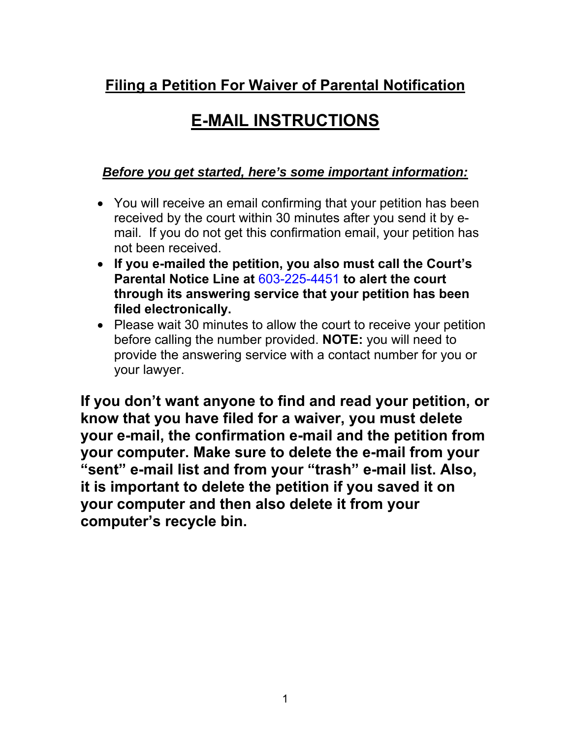### **Filing a Petition For Waiver of Parental Notification**

# **E-MAIL INSTRUCTIONS**

### *Before you get started, here's some important information:*

- You will receive an email confirming that your petition has been received by the court within 30 minutes after you send it by email. If you do not get this confirmation email, your petition has not been received.
- **If you e-mailed the petition, you also must call the Court's Parental Notice Line at** 603-225-4451 **to alert the court through its answering service that your petition has been filed electronically.**
- Please wait 30 minutes to allow the court to receive your petition before calling the number provided. **NOTE:** you will need to provide the answering service with a contact number for you or your lawyer.

**If you don't want anyone to find and read your petition, or know that you have filed for a waiver, you must delete your e-mail, the confirmation e-mail and the petition from your computer. Make sure to delete the e-mail from your "sent" e-mail list and from your "trash" e-mail list. Also, it is important to delete the petition if you saved it on your computer and then also delete it from your computer's recycle bin.**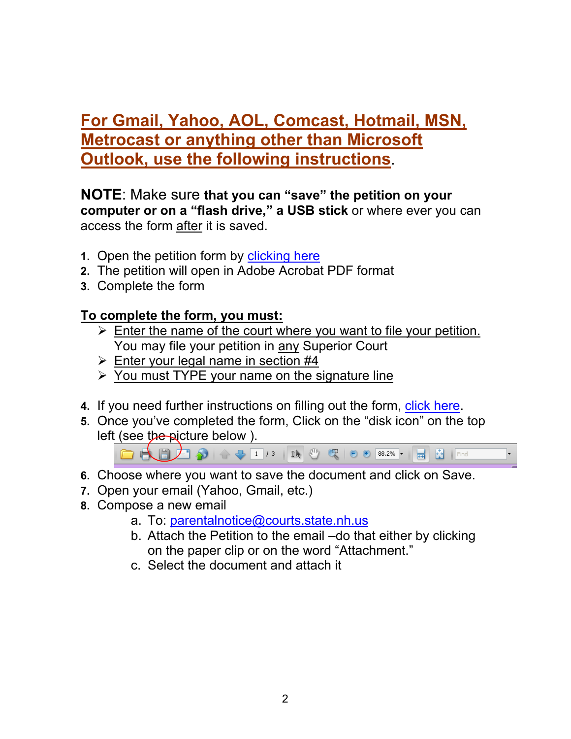## **For Gmail, Yahoo, AOL, Comcast, Hotmail, MSN, Metrocast or anything other than Microsoft Outlook, use the following instructions**.

#### **NOTE**: Make sure **that you can "save" the petition on your computer or on a "flash drive," a USB stick** or where ever you can access the form after it is saved.

- **1.** Open the petition form by [clicking here](http://www.courts.state.nh.us/forms/nhjb-2383-s.pdf)
- **2.** The petition will open in Adobe Acrobat PDF format
- **3.** Complete the form

#### **To complete the form, you must:**

- $\triangleright$  Enter the name of the court where you want to file your petition. You may file your petition in any Superior Court
- $\triangleright$  Enter your legal name in section #4
- $\triangleright$  You must TYPE your name on the signature line
- **4.** If you need further instructions on filling out the form, [click here.](http://www.courts.state.nh.us/pn/2383-instructions.pdf)
- **5.** Once you've completed the form, Click on the "disk icon" on the top left (see the picture below).



- **6.** Choose where you want to save the document and click on Save.
- **7.** Open your email (Yahoo, Gmail, etc.)
- **8.** Compose a new email
	- a. To: [parentalnotice@courts.state.nh.us](mailto:parentalnotice@courts.state.nh.us)
	- b. Attach the Petition to the email –do that either by clicking on the paper clip or on the word "Attachment."
	- c. Select the document and attach it